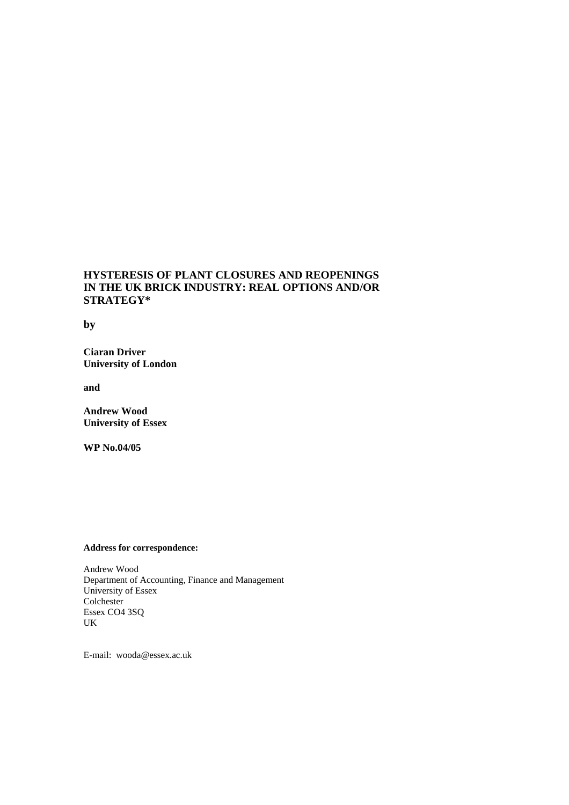### **HYSTERESIS OF PLANT CLOSURES AND REOPENINGS IN THE UK BRICK INDUSTRY: REAL OPTIONS AND/OR STRATEGY\***

**by** 

**Ciaran Driver University of London** 

**and** 

**Andrew Wood University of Essex** 

**WP No.04/05**

#### **Address for correspondence:**

Andrew Wood Department of Accounting, Finance and Management University of Essex Colchester Essex CO4 3SQ UK

E-mail: wooda@essex.ac.uk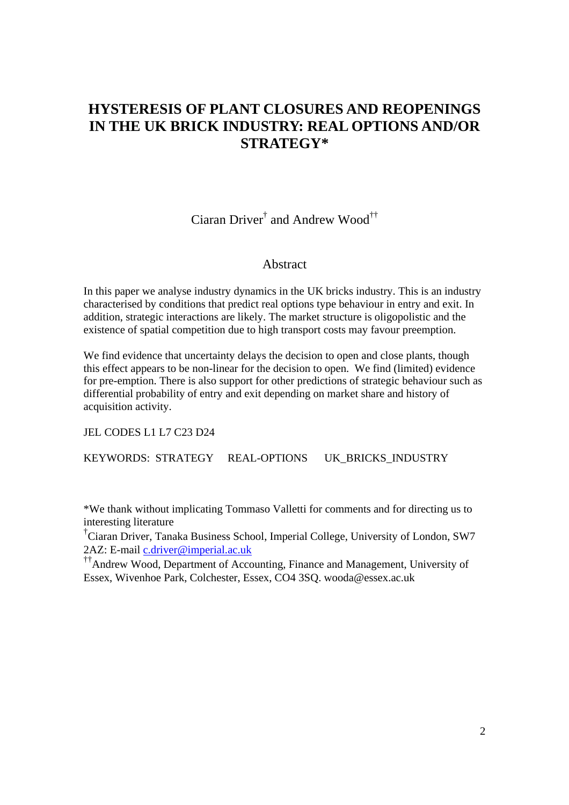# **HYSTERESIS OF PLANT CLOSURES AND REOPENINGS IN THE UK BRICK INDUSTRY: REAL OPTIONS AND/OR STRATEGY\***

Ciaran Driver<sup>†</sup> and Andrew Wood<sup>††</sup>

### Abstract

In this paper we analyse industry dynamics in the UK bricks industry. This is an industry characterised by conditions that predict real options type behaviour in entry and exit. In addition, strategic interactions are likely. The market structure is oligopolistic and the existence of spatial competition due to high transport costs may favour preemption.

We find evidence that uncertainty delays the decision to open and close plants, though this effect appears to be non-linear for the decision to open. We find (limited) evidence for pre-emption. There is also support for other predictions of strategic behaviour such as differential probability of entry and exit depending on market share and history of acquisition activity.

JEL CODES L1 L7 C23 D24

KEYWORDS: STRATEGY REAL-OPTIONS UK BRICKS INDUSTRY

\*We thank without implicating Tommaso Valletti for comments and for directing us to interesting literature

† Ciaran Driver, Tanaka Business School, Imperial College, University of London, SW7 2AZ: E-mail c.driver@imperial.ac.uk

††Andrew Wood, Department of Accounting, Finance and Management, University of Essex, Wivenhoe Park, Colchester, Essex, CO4 3SQ. wooda@essex.ac.uk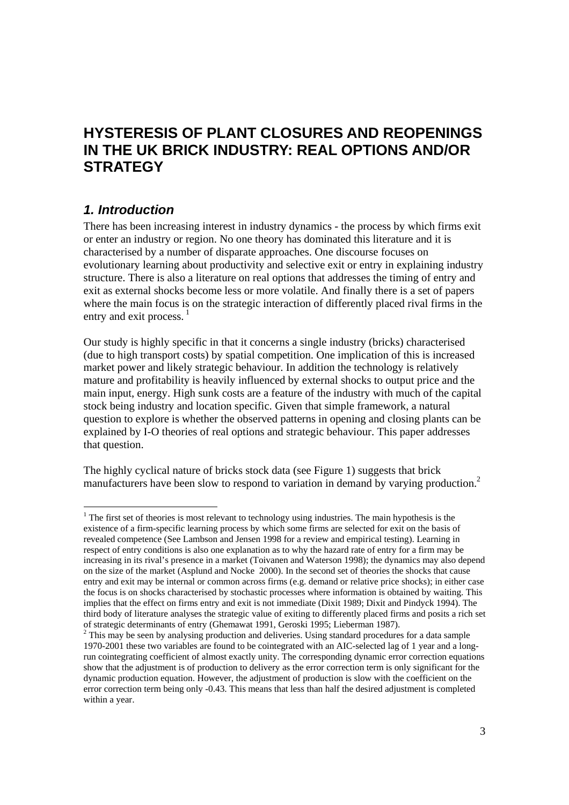# **HYSTERESIS OF PLANT CLOSURES AND REOPENINGS IN THE UK BRICK INDUSTRY: REAL OPTIONS AND/OR STRATEGY**

## *1. Introduction*

 $\overline{\phantom{a}}$ 

There has been increasing interest in industry dynamics - the process by which firms exit or enter an industry or region. No one theory has dominated this literature and it is characterised by a number of disparate approaches. One discourse focuses on evolutionary learning about productivity and selective exit or entry in explaining industry structure. There is also a literature on real options that addresses the timing of entry and exit as external shocks become less or more volatile. And finally there is a set of papers where the main focus is on the strategic interaction of differently placed rival firms in the entry and exit process.  $\frac{1}{1}$ 

Our study is highly specific in that it concerns a single industry (bricks) characterised (due to high transport costs) by spatial competition. One implication of this is increased market power and likely strategic behaviour. In addition the technology is relatively mature and profitability is heavily influenced by external shocks to output price and the main input, energy. High sunk costs are a feature of the industry with much of the capital stock being industry and location specific. Given that simple framework, a natural question to explore is whether the observed patterns in opening and closing plants can be explained by I-O theories of real options and strategic behaviour. This paper addresses that question.

The highly cyclical nature of bricks stock data (see Figure 1) suggests that brick manufacturers have been slow to respond to variation in demand by varying production.<sup>2</sup>

 $1$ <sup>1</sup> The first set of theories is most relevant to technology using industries. The main hypothesis is the existence of a firm-specific learning process by which some firms are selected for exit on the basis of revealed competence (See Lambson and Jensen 1998 for a review and empirical testing). Learning in respect of entry conditions is also one explanation as to why the hazard rate of entry for a firm may be increasing in its rival's presence in a market (Toivanen and Waterson 1998); the dynamics may also depend on the size of the market (Asplund and Nocke 2000). In the second set of theories the shocks that cause entry and exit may be internal or common across firms (e.g. demand or relative price shocks); in either case the focus is on shocks characterised by stochastic processes where information is obtained by waiting. This implies that the effect on firms entry and exit is not immediate (Dixit 1989; Dixit and Pindyck 1994). The third body of literature analyses the strategic value of exiting to differently placed firms and posits a rich set of strategic determinants of entry (Ghemawat 1991, Geroski 1995; Lieberman 1987).

 $2$  This may be seen by analysing production and deliveries. Using standard procedures for a data sample 1970-2001 these two variables are found to be cointegrated with an AIC-selected lag of 1 year and a longrun cointegrating coefficient of almost exactly unity. The corresponding dynamic error correction equations show that the adjustment is of production to delivery as the error correction term is only significant for the dynamic production equation. However, the adjustment of production is slow with the coefficient on the error correction term being only -0.43. This means that less than half the desired adjustment is completed within a year.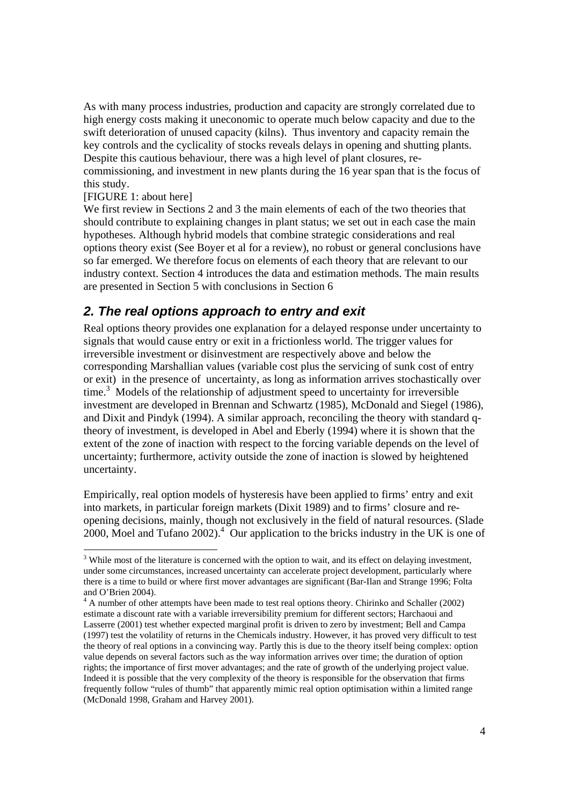As with many process industries, production and capacity are strongly correlated due to high energy costs making it uneconomic to operate much below capacity and due to the swift deterioration of unused capacity (kilns). Thus inventory and capacity remain the key controls and the cyclicality of stocks reveals delays in opening and shutting plants. Despite this cautious behaviour, there was a high level of plant closures, recommissioning, and investment in new plants during the 16 year span that is the focus of this study.

### [FIGURE 1: about here]

We first review in Sections 2 and 3 the main elements of each of the two theories that should contribute to explaining changes in plant status; we set out in each case the main hypotheses. Although hybrid models that combine strategic considerations and real options theory exist (See Boyer et al for a review), no robust or general conclusions have so far emerged. We therefore focus on elements of each theory that are relevant to our industry context. Section 4 introduces the data and estimation methods. The main results are presented in Section 5 with conclusions in Section 6

## *2. The real options approach to entry and exit*

Real options theory provides one explanation for a delayed response under uncertainty to signals that would cause entry or exit in a frictionless world. The trigger values for irreversible investment or disinvestment are respectively above and below the corresponding Marshallian values (variable cost plus the servicing of sunk cost of entry or exit) in the presence of uncertainty, as long as information arrives stochastically over time.<sup>3</sup> Models of the relationship of adjustment speed to uncertainty for irreversible investment are developed in Brennan and Schwartz (1985), McDonald and Siegel (1986), and Dixit and Pindyk (1994). A similar approach, reconciling the theory with standard qtheory of investment, is developed in Abel and Eberly (1994) where it is shown that the extent of the zone of inaction with respect to the forcing variable depends on the level of uncertainty; furthermore, activity outside the zone of inaction is slowed by heightened uncertainty.

Empirically, real option models of hysteresis have been applied to firms' entry and exit into markets, in particular foreign markets (Dixit 1989) and to firms' closure and reopening decisions, mainly, though not exclusively in the field of natural resources. (Slade 2000, Moel and Tufano 2002).<sup>4</sup> Our application to the bricks industry in the UK is one of

<sup>&</sup>lt;sup>3</sup> While most of the literature is concerned with the option to wait, and its effect on delaying investment, under some circumstances, increased uncertainty can accelerate project development, particularly where there is a time to build or where first mover advantages are significant (Bar-Ilan and Strange 1996; Folta and O'Brien 2004).

<sup>&</sup>lt;sup>4</sup> A number of other attempts have been made to test real options theory. Chirinko and Schaller (2002) estimate a discount rate with a variable irreversibility premium for different sectors; Harchaoui and Lasserre (2001) test whether expected marginal profit is driven to zero by investment; Bell and Campa (1997) test the volatility of returns in the Chemicals industry. However, it has proved very difficult to test the theory of real options in a convincing way. Partly this is due to the theory itself being complex: option value depends on several factors such as the way information arrives over time; the duration of option rights; the importance of first mover advantages; and the rate of growth of the underlying project value. Indeed it is possible that the very complexity of the theory is responsible for the observation that firms frequently follow "rules of thumb" that apparently mimic real option optimisation within a limited range (McDonald 1998, Graham and Harvey 2001).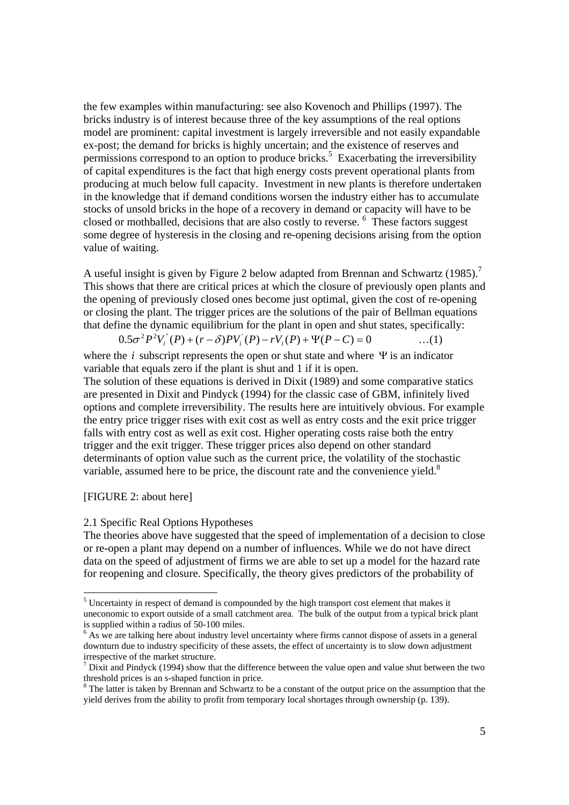the few examples within manufacturing: see also Kovenoch and Phillips (1997). The bricks industry is of interest because three of the key assumptions of the real options model are prominent: capital investment is largely irreversible and not easily expandable ex-post; the demand for bricks is highly uncertain; and the existence of reserves and permissions correspond to an option to produce bricks.<sup>5</sup> Exacerbating the irreversibility of capital expenditures is the fact that high energy costs prevent operational plants from producing at much below full capacity. Investment in new plants is therefore undertaken in the knowledge that if demand conditions worsen the industry either has to accumulate stocks of unsold bricks in the hope of a recovery in demand or capacity will have to be closed or mothballed, decisions that are also costly to reverse. <sup>6</sup> These factors suggest some degree of hysteresis in the closing and re-opening decisions arising from the option value of waiting.

A useful insight is given by Figure 2 below adapted from Brennan and Schwartz (1985).<sup>7</sup> This shows that there are critical prices at which the closure of previously open plants and the opening of previously closed ones become just optimal, given the cost of re-opening or closing the plant. The trigger prices are the solutions of the pair of Bellman equations that define the dynamic equilibrium for the plant in open and shut states, specifically:

$$
0.5\sigma^2 P^2 V_i^{\dagger}(P) + (r - \delta) P V_i^{\dagger}(P) - r V_i(P) + \Psi(P - C) = 0 \qquad \qquad \dots (1)
$$

where the *i* subscript represents the open or shut state and where  $\Psi$  is an indicator variable that equals zero if the plant is shut and 1 if it is open.

The solution of these equations is derived in Dixit (1989) and some comparative statics are presented in Dixit and Pindyck (1994) for the classic case of GBM, infinitely lived options and complete irreversibility. The results here are intuitively obvious. For example the entry price trigger rises with exit cost as well as entry costs and the exit price trigger falls with entry cost as well as exit cost. Higher operating costs raise both the entry trigger and the exit trigger. These trigger prices also depend on other standard determinants of option value such as the current price, the volatility of the stochastic variable, assumed here to be price, the discount rate and the convenience yield.<sup>8</sup>

[FIGURE 2: about here]

#### 2.1 Specific Real Options Hypotheses

The theories above have suggested that the speed of implementation of a decision to close or re-open a plant may depend on a number of influences. While we do not have direct data on the speed of adjustment of firms we are able to set up a model for the hazard rate for reopening and closure. Specifically, the theory gives predictors of the probability of

 $<sup>5</sup>$  Uncertainty in respect of demand is compounded by the high transport cost element that makes it</sup> uneconomic to export outside of a small catchment area. The bulk of the output from a typical brick plant is supplied within a radius of 50-100 miles.

<sup>&</sup>lt;sup>6</sup> As we are talking here about industry level uncertainty where firms cannot dispose of assets in a general downturn due to industry specificity of these assets, the effect of uncertainty is to slow down adjustment irrespective of the market structure.

<sup>&</sup>lt;sup>7</sup> Dixit and Pindyck (1994) show that the difference between the value open and value shut between the two threshold prices is an s-shaped function in price.

<sup>&</sup>lt;sup>8</sup> The latter is taken by Brennan and Schwartz to be a constant of the output price on the assumption that the yield derives from the ability to profit from temporary local shortages through ownership (p. 139).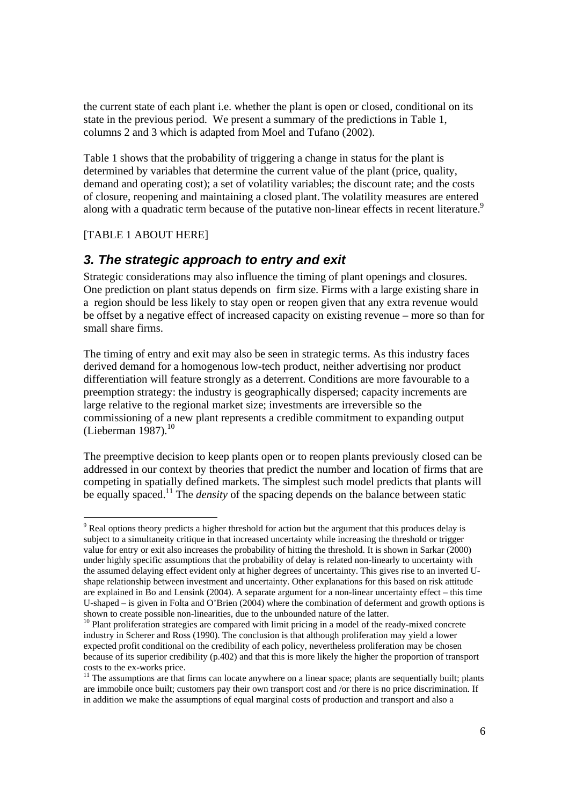the current state of each plant i.e. whether the plant is open or closed, conditional on its state in the previous period. We present a summary of the predictions in Table 1, columns 2 and 3 which is adapted from Moel and Tufano (2002).

Table 1 shows that the probability of triggering a change in status for the plant is determined by variables that determine the current value of the plant (price, quality, demand and operating cost); a set of volatility variables; the discount rate; and the costs of closure, reopening and maintaining a closed plant. The volatility measures are entered along with a quadratic term because of the putative non-linear effects in recent literature.<sup>9</sup>

## [TABLE 1 ABOUT HERE]

## *3. The strategic approach to entry and exit*

Strategic considerations may also influence the timing of plant openings and closures. One prediction on plant status depends on firm size. Firms with a large existing share in a region should be less likely to stay open or reopen given that any extra revenue would be offset by a negative effect of increased capacity on existing revenue – more so than for small share firms.

The timing of entry and exit may also be seen in strategic terms. As this industry faces derived demand for a homogenous low-tech product, neither advertising nor product differentiation will feature strongly as a deterrent. Conditions are more favourable to a preemption strategy: the industry is geographically dispersed; capacity increments are large relative to the regional market size; investments are irreversible so the commissioning of a new plant represents a credible commitment to expanding output (Lieberman  $1987$ ).<sup>10</sup>

The preemptive decision to keep plants open or to reopen plants previously closed can be addressed in our context by theories that predict the number and location of firms that are competing in spatially defined markets. The simplest such model predicts that plants will be equally spaced.<sup>11</sup> The *density* of the spacing depends on the balance between static

<sup>&</sup>lt;sup>9</sup> Real options theory predicts a higher threshold for action but the argument that this produces delay is subject to a simultaneity critique in that increased uncertainty while increasing the threshold or trigger value for entry or exit also increases the probability of hitting the threshold. It is shown in Sarkar (2000) under highly specific assumptions that the probability of delay is related non-linearly to uncertainty with the assumed delaying effect evident only at higher degrees of uncertainty. This gives rise to an inverted Ushape relationship between investment and uncertainty. Other explanations for this based on risk attitude are explained in Bo and Lensink (2004). A separate argument for a non-linear uncertainty effect – this time U-shaped – is given in Folta and O'Brien (2004) where the combination of deferment and growth options is shown to create possible non-linearities, due to the unbounded nature of the latter.

<sup>&</sup>lt;sup>10</sup> Plant proliferation strategies are compared with limit pricing in a model of the ready-mixed concrete industry in Scherer and Ross (1990). The conclusion is that although proliferation may yield a lower expected profit conditional on the credibility of each policy, nevertheless proliferation may be chosen because of its superior credibility (p.402) and that this is more likely the higher the proportion of transport costs to the ex-works price.

<sup>&</sup>lt;sup>11</sup> The assumptions are that firms can locate anywhere on a linear space; plants are sequentially built; plants are immobile once built; customers pay their own transport cost and /or there is no price discrimination. If in addition we make the assumptions of equal marginal costs of production and transport and also a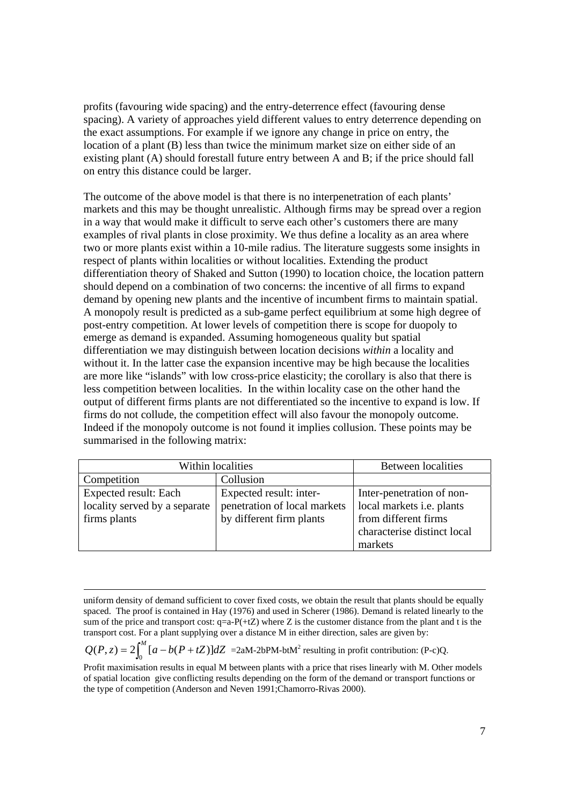profits (favouring wide spacing) and the entry-deterrence effect (favouring dense spacing). A variety of approaches yield different values to entry deterrence depending on the exact assumptions. For example if we ignore any change in price on entry, the location of a plant (B) less than twice the minimum market size on either side of an existing plant (A) should forestall future entry between A and B; if the price should fall on entry this distance could be larger.

The outcome of the above model is that there is no interpenetration of each plants' markets and this may be thought unrealistic. Although firms may be spread over a region in a way that would make it difficult to serve each other's customers there are many examples of rival plants in close proximity. We thus define a locality as an area where two or more plants exist within a 10-mile radius. The literature suggests some insights in respect of plants within localities or without localities. Extending the product differentiation theory of Shaked and Sutton (1990) to location choice, the location pattern should depend on a combination of two concerns: the incentive of all firms to expand demand by opening new plants and the incentive of incumbent firms to maintain spatial. A monopoly result is predicted as a sub-game perfect equilibrium at some high degree of post-entry competition. At lower levels of competition there is scope for duopoly to emerge as demand is expanded. Assuming homogeneous quality but spatial differentiation we may distinguish between location decisions *within* a locality and without it. In the latter case the expansion incentive may be high because the localities are more like "islands" with low cross-price elasticity; the corollary is also that there is less competition between localities. In the within locality case on the other hand the output of different firms plants are not differentiated so the incentive to expand is low. If firms do not collude, the competition effect will also favour the monopoly outcome. Indeed if the monopoly outcome is not found it implies collusion. These points may be summarised in the following matrix:

| Within localities             | <b>Between</b> localities    |                             |
|-------------------------------|------------------------------|-----------------------------|
| Competition                   | Collusion                    |                             |
| Expected result: Each         | Expected result: inter-      | Inter-penetration of non-   |
| locality served by a separate | penetration of local markets | local markets i.e. plants   |
| firms plants                  | by different firm plants     | from different firms        |
|                               |                              | characterise distinct local |
|                               |                              | markets                     |

 $Q(P, z) = 2 \int_0^M [a - b(P + tZ)] dZ$  =2aM-2bPM-btM<sup>2</sup> resulting in profit contribution: (P-c)Q.

Profit maximisation results in equal M between plants with a price that rises linearly with M. Other models of spatial location give conflicting results depending on the form of the demand or transport functions or the type of competition (Anderson and Neven 1991;Chamorro-Rivas 2000).

uniform density of demand sufficient to cover fixed costs, we obtain the result that plants should be equally spaced. The proof is contained in Hay (1976) and used in Scherer (1986). Demand is related linearly to the sum of the price and transport cost:  $q=a-P(+tZ)$  where Z is the customer distance from the plant and t is the transport cost. For a plant supplying over a distance M in either direction, sales are given by: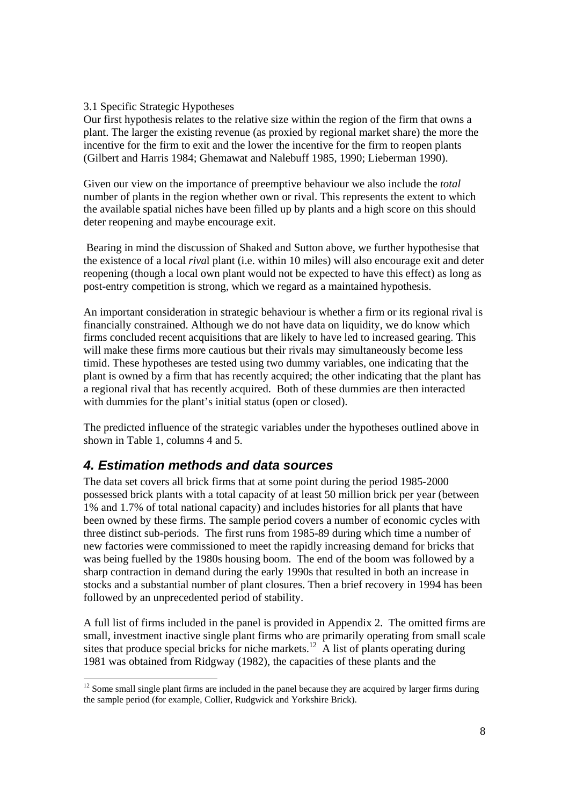## 3.1 Specific Strategic Hypotheses

Our first hypothesis relates to the relative size within the region of the firm that owns a plant. The larger the existing revenue (as proxied by regional market share) the more the incentive for the firm to exit and the lower the incentive for the firm to reopen plants (Gilbert and Harris 1984; Ghemawat and Nalebuff 1985, 1990; Lieberman 1990).

Given our view on the importance of preemptive behaviour we also include the *total* number of plants in the region whether own or rival. This represents the extent to which the available spatial niches have been filled up by plants and a high score on this should deter reopening and maybe encourage exit.

 Bearing in mind the discussion of Shaked and Sutton above, we further hypothesise that the existence of a local *riva*l plant (i.e. within 10 miles) will also encourage exit and deter reopening (though a local own plant would not be expected to have this effect) as long as post-entry competition is strong, which we regard as a maintained hypothesis.

An important consideration in strategic behaviour is whether a firm or its regional rival is financially constrained. Although we do not have data on liquidity, we do know which firms concluded recent acquisitions that are likely to have led to increased gearing. This will make these firms more cautious but their rivals may simultaneously become less timid. These hypotheses are tested using two dummy variables, one indicating that the plant is owned by a firm that has recently acquired; the other indicating that the plant has a regional rival that has recently acquired. Both of these dummies are then interacted with dummies for the plant's initial status (open or closed).

The predicted influence of the strategic variables under the hypotheses outlined above in shown in Table 1, columns 4 and 5.

## *4. Estimation methods and data sources*

The data set covers all brick firms that at some point during the period 1985-2000 possessed brick plants with a total capacity of at least 50 million brick per year (between 1% and 1.7% of total national capacity) and includes histories for all plants that have been owned by these firms. The sample period covers a number of economic cycles with three distinct sub-periods. The first runs from 1985-89 during which time a number of new factories were commissioned to meet the rapidly increasing demand for bricks that was being fuelled by the 1980s housing boom. The end of the boom was followed by a sharp contraction in demand during the early 1990s that resulted in both an increase in stocks and a substantial number of plant closures. Then a brief recovery in 1994 has been followed by an unprecedented period of stability.

A full list of firms included in the panel is provided in Appendix 2. The omitted firms are small, investment inactive single plant firms who are primarily operating from small scale sites that produce special bricks for niche markets.<sup>12</sup> A list of plants operating during 1981 was obtained from Ridgway (1982), the capacities of these plants and the

 $12$  Some small single plant firms are included in the panel because they are acquired by larger firms during the sample period (for example, Collier, Rudgwick and Yorkshire Brick).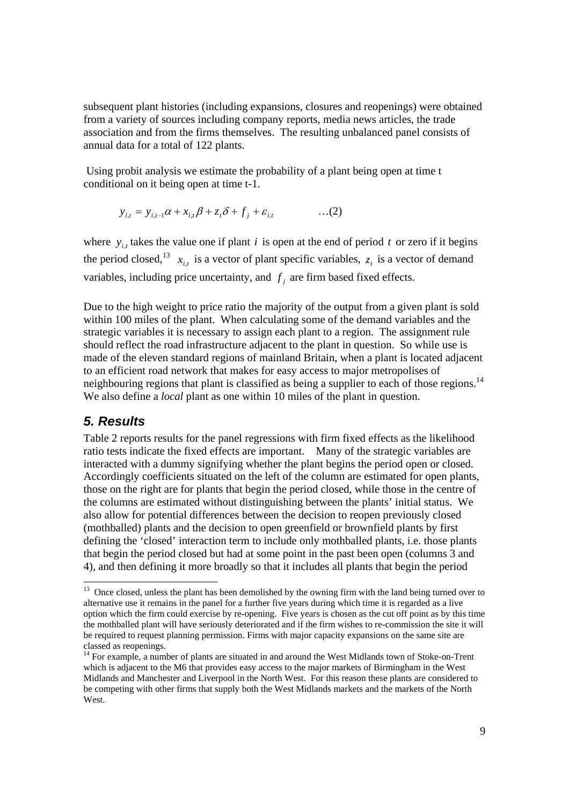subsequent plant histories (including expansions, closures and reopenings) were obtained from a variety of sources including company reports, media news articles, the trade association and from the firms themselves. The resulting unbalanced panel consists of annual data for a total of 122 plants.

 Using probit analysis we estimate the probability of a plant being open at time t conditional on it being open at time t-1.

$$
y_{i,t} = y_{i,t-1}\alpha + x_{i,t}\beta + z_t\delta + f_j + \varepsilon_{i,t} \tag{2}
$$

where  $y_{i,t}$  takes the value one if plant *i* is open at the end of period *t* or zero if it begins the period closed,<sup>13</sup>  $x_{i,t}$  is a vector of plant specific variables,  $z_t$  is a vector of demand variables, including price uncertainty, and  $f_i$  are firm based fixed effects.

Due to the high weight to price ratio the majority of the output from a given plant is sold within 100 miles of the plant. When calculating some of the demand variables and the strategic variables it is necessary to assign each plant to a region. The assignment rule should reflect the road infrastructure adjacent to the plant in question. So while use is made of the eleven standard regions of mainland Britain, when a plant is located adjacent to an efficient road network that makes for easy access to major metropolises of neighbouring regions that plant is classified as being a supplier to each of those regions.<sup>14</sup> We also define a *local* plant as one within 10 miles of the plant in question.

## *5. Results*

Table 2 reports results for the panel regressions with firm fixed effects as the likelihood ratio tests indicate the fixed effects are important. Many of the strategic variables are interacted with a dummy signifying whether the plant begins the period open or closed. Accordingly coefficients situated on the left of the column are estimated for open plants, those on the right are for plants that begin the period closed, while those in the centre of the columns are estimated without distinguishing between the plants' initial status. We also allow for potential differences between the decision to reopen previously closed (mothballed) plants and the decision to open greenfield or brownfield plants by first defining the 'closed' interaction term to include only mothballed plants, i.e. those plants that begin the period closed but had at some point in the past been open (columns 3 and 4), and then defining it more broadly so that it includes all plants that begin the period

 $13$  Once closed, unless the plant has been demolished by the owning firm with the land being turned over to alternative use it remains in the panel for a further five years during which time it is regarded as a live option which the firm could exercise by re-opening. Five years is chosen as the cut off point as by this time the mothballed plant will have seriously deteriorated and if the firm wishes to re-commission the site it will be required to request planning permission. Firms with major capacity expansions on the same site are classed as reopenings.

<sup>&</sup>lt;sup>14</sup> For example, a number of plants are situated in and around the West Midlands town of Stoke-on-Trent which is adjacent to the M6 that provides easy access to the major markets of Birmingham in the West Midlands and Manchester and Liverpool in the North West. For this reason these plants are considered to be competing with other firms that supply both the West Midlands markets and the markets of the North West.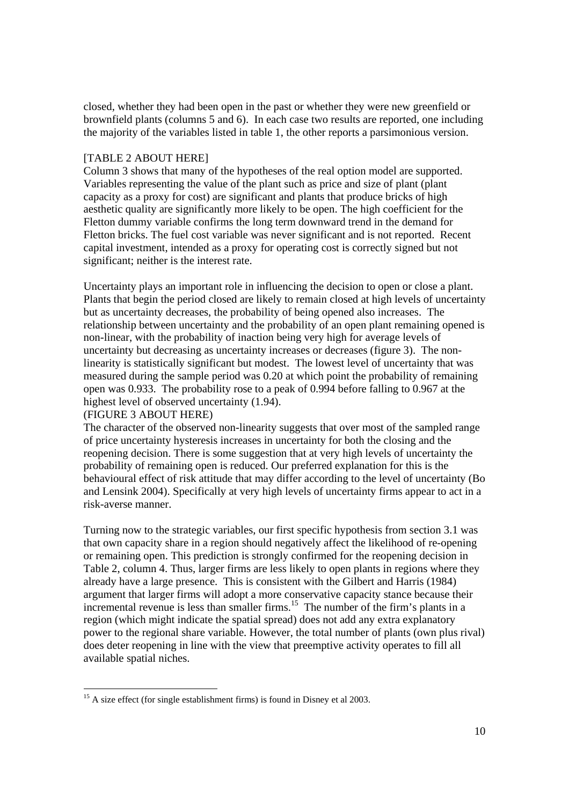closed, whether they had been open in the past or whether they were new greenfield or brownfield plants (columns 5 and 6). In each case two results are reported, one including the majority of the variables listed in table 1, the other reports a parsimonious version.

#### [TABLE 2 ABOUT HERE]

Column 3 shows that many of the hypotheses of the real option model are supported. Variables representing the value of the plant such as price and size of plant (plant capacity as a proxy for cost) are significant and plants that produce bricks of high aesthetic quality are significantly more likely to be open. The high coefficient for the Fletton dummy variable confirms the long term downward trend in the demand for Fletton bricks. The fuel cost variable was never significant and is not reported. Recent capital investment, intended as a proxy for operating cost is correctly signed but not significant; neither is the interest rate.

Uncertainty plays an important role in influencing the decision to open or close a plant. Plants that begin the period closed are likely to remain closed at high levels of uncertainty but as uncertainty decreases, the probability of being opened also increases. The relationship between uncertainty and the probability of an open plant remaining opened is non-linear, with the probability of inaction being very high for average levels of uncertainty but decreasing as uncertainty increases or decreases (figure 3). The nonlinearity is statistically significant but modest. The lowest level of uncertainty that was measured during the sample period was 0.20 at which point the probability of remaining open was 0.933. The probability rose to a peak of 0.994 before falling to 0.967 at the highest level of observed uncertainty (1.94).

## (FIGURE 3 ABOUT HERE)

 $\overline{\phantom{a}}$ 

The character of the observed non-linearity suggests that over most of the sampled range of price uncertainty hysteresis increases in uncertainty for both the closing and the reopening decision. There is some suggestion that at very high levels of uncertainty the probability of remaining open is reduced. Our preferred explanation for this is the behavioural effect of risk attitude that may differ according to the level of uncertainty (Bo and Lensink 2004). Specifically at very high levels of uncertainty firms appear to act in a risk-averse manner.

Turning now to the strategic variables, our first specific hypothesis from section 3.1 was that own capacity share in a region should negatively affect the likelihood of re-opening or remaining open. This prediction is strongly confirmed for the reopening decision in Table 2, column 4. Thus, larger firms are less likely to open plants in regions where they already have a large presence. This is consistent with the Gilbert and Harris (1984) argument that larger firms will adopt a more conservative capacity stance because their incremental revenue is less than smaller firms.<sup>15</sup> The number of the firm's plants in a region (which might indicate the spatial spread) does not add any extra explanatory power to the regional share variable. However, the total number of plants (own plus rival) does deter reopening in line with the view that preemptive activity operates to fill all available spatial niches.

 $15$  A size effect (for single establishment firms) is found in Disney et al 2003.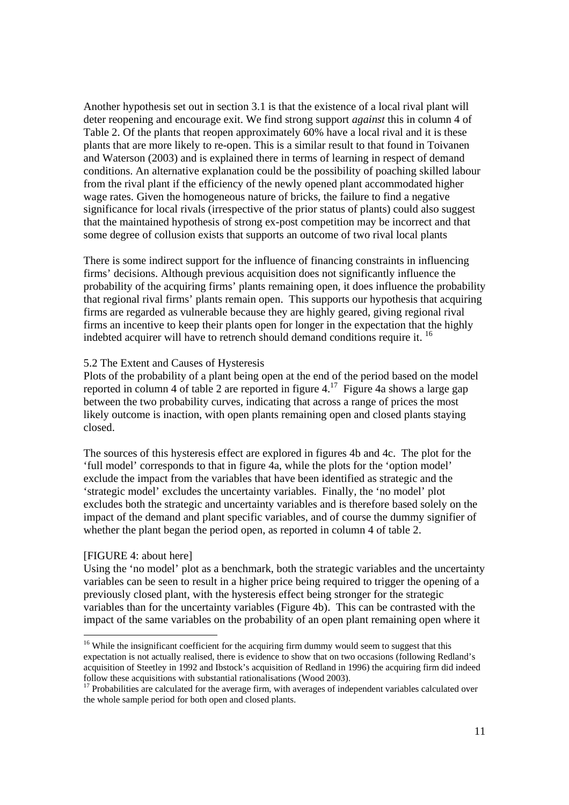Another hypothesis set out in section 3.1 is that the existence of a local rival plant will deter reopening and encourage exit. We find strong support *against* this in column 4 of Table 2. Of the plants that reopen approximately 60% have a local rival and it is these plants that are more likely to re-open. This is a similar result to that found in Toivanen and Waterson (2003) and is explained there in terms of learning in respect of demand conditions. An alternative explanation could be the possibility of poaching skilled labour from the rival plant if the efficiency of the newly opened plant accommodated higher wage rates. Given the homogeneous nature of bricks, the failure to find a negative significance for local rivals (irrespective of the prior status of plants) could also suggest that the maintained hypothesis of strong ex-post competition may be incorrect and that some degree of collusion exists that supports an outcome of two rival local plants

There is some indirect support for the influence of financing constraints in influencing firms' decisions. Although previous acquisition does not significantly influence the probability of the acquiring firms' plants remaining open, it does influence the probability that regional rival firms' plants remain open. This supports our hypothesis that acquiring firms are regarded as vulnerable because they are highly geared, giving regional rival firms an incentive to keep their plants open for longer in the expectation that the highly indebted acquirer will have to retrench should demand conditions require it. 16

#### 5.2 The Extent and Causes of Hysteresis

Plots of the probability of a plant being open at the end of the period based on the model reported in column 4 of table 2 are reported in figure 4.<sup>17</sup> Figure 4a shows a large gap between the two probability curves, indicating that across a range of prices the most likely outcome is inaction, with open plants remaining open and closed plants staying closed.

The sources of this hysteresis effect are explored in figures 4b and 4c. The plot for the 'full model' corresponds to that in figure 4a, while the plots for the 'option model' exclude the impact from the variables that have been identified as strategic and the 'strategic model' excludes the uncertainty variables. Finally, the 'no model' plot excludes both the strategic and uncertainty variables and is therefore based solely on the impact of the demand and plant specific variables, and of course the dummy signifier of whether the plant began the period open, as reported in column 4 of table 2.

#### [FIGURE 4: about here]

l

Using the 'no model' plot as a benchmark, both the strategic variables and the uncertainty variables can be seen to result in a higher price being required to trigger the opening of a previously closed plant, with the hysteresis effect being stronger for the strategic variables than for the uncertainty variables (Figure 4b). This can be contrasted with the impact of the same variables on the probability of an open plant remaining open where it

<sup>&</sup>lt;sup>16</sup> While the insignificant coefficient for the acquiring firm dummy would seem to suggest that this expectation is not actually realised, there is evidence to show that on two occasions (following Redland's acquisition of Steetley in 1992 and Ibstock's acquisition of Redland in 1996) the acquiring firm did indeed follow these acquisitions with substantial rationalisations (Wood 2003).

<sup>&</sup>lt;sup>17</sup> Probabilities are calculated for the average firm, with averages of independent variables calculated over the whole sample period for both open and closed plants.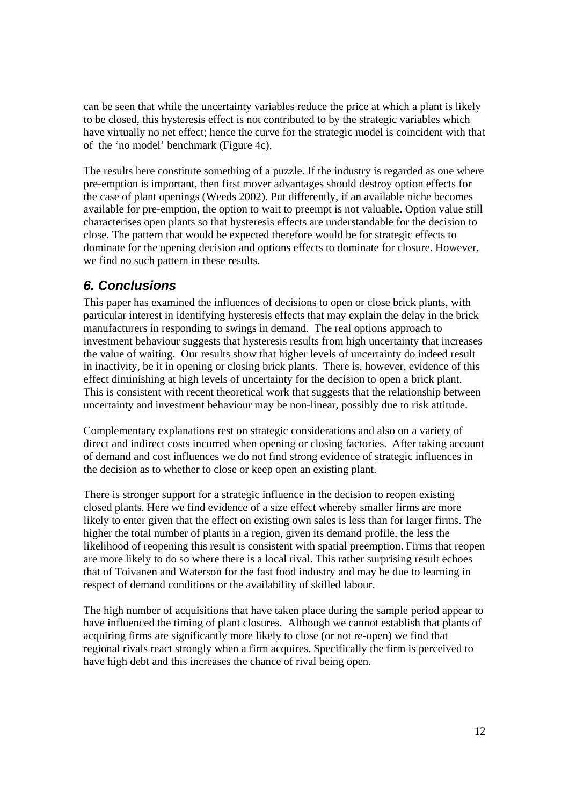can be seen that while the uncertainty variables reduce the price at which a plant is likely to be closed, this hysteresis effect is not contributed to by the strategic variables which have virtually no net effect; hence the curve for the strategic model is coincident with that of the 'no model' benchmark (Figure 4c).

The results here constitute something of a puzzle. If the industry is regarded as one where pre-emption is important, then first mover advantages should destroy option effects for the case of plant openings (Weeds 2002). Put differently, if an available niche becomes available for pre-emption, the option to wait to preempt is not valuable. Option value still characterises open plants so that hysteresis effects are understandable for the decision to close. The pattern that would be expected therefore would be for strategic effects to dominate for the opening decision and options effects to dominate for closure. However, we find no such pattern in these results.

## *6. Conclusions*

This paper has examined the influences of decisions to open or close brick plants, with particular interest in identifying hysteresis effects that may explain the delay in the brick manufacturers in responding to swings in demand. The real options approach to investment behaviour suggests that hysteresis results from high uncertainty that increases the value of waiting. Our results show that higher levels of uncertainty do indeed result in inactivity, be it in opening or closing brick plants. There is, however, evidence of this effect diminishing at high levels of uncertainty for the decision to open a brick plant. This is consistent with recent theoretical work that suggests that the relationship between uncertainty and investment behaviour may be non-linear, possibly due to risk attitude.

Complementary explanations rest on strategic considerations and also on a variety of direct and indirect costs incurred when opening or closing factories. After taking account of demand and cost influences we do not find strong evidence of strategic influences in the decision as to whether to close or keep open an existing plant.

There is stronger support for a strategic influence in the decision to reopen existing closed plants. Here we find evidence of a size effect whereby smaller firms are more likely to enter given that the effect on existing own sales is less than for larger firms. The higher the total number of plants in a region, given its demand profile, the less the likelihood of reopening this result is consistent with spatial preemption. Firms that reopen are more likely to do so where there is a local rival. This rather surprising result echoes that of Toivanen and Waterson for the fast food industry and may be due to learning in respect of demand conditions or the availability of skilled labour.

The high number of acquisitions that have taken place during the sample period appear to have influenced the timing of plant closures. Although we cannot establish that plants of acquiring firms are significantly more likely to close (or not re-open) we find that regional rivals react strongly when a firm acquires. Specifically the firm is perceived to have high debt and this increases the chance of rival being open.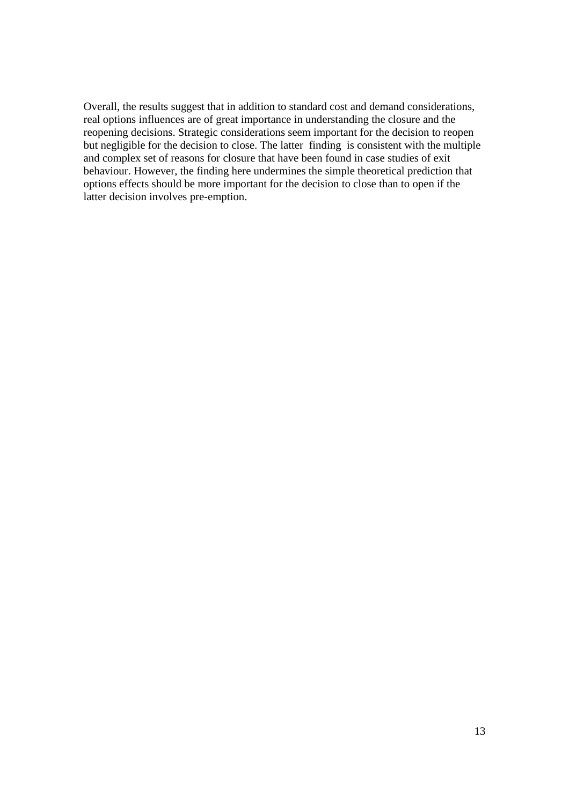Overall, the results suggest that in addition to standard cost and demand considerations, real options influences are of great importance in understanding the closure and the reopening decisions. Strategic considerations seem important for the decision to reopen but negligible for the decision to close. The latter finding is consistent with the multiple and complex set of reasons for closure that have been found in case studies of exit behaviour. However, the finding here undermines the simple theoretical prediction that options effects should be more important for the decision to close than to open if the latter decision involves pre-emption.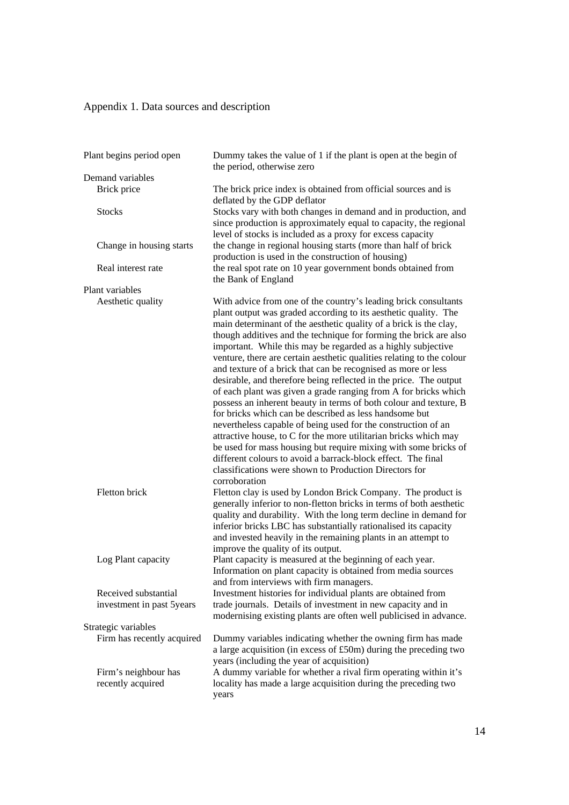# Appendix 1. Data sources and description

| Plant begins period open                          | Dummy takes the value of 1 if the plant is open at the begin of<br>the period, otherwise zero                                                                                                                                                                                                                                                                                                                                                                                                                                                                                                                                                                                                                                                                                                                                                                                                                                                                                                                                                                                                                    |
|---------------------------------------------------|------------------------------------------------------------------------------------------------------------------------------------------------------------------------------------------------------------------------------------------------------------------------------------------------------------------------------------------------------------------------------------------------------------------------------------------------------------------------------------------------------------------------------------------------------------------------------------------------------------------------------------------------------------------------------------------------------------------------------------------------------------------------------------------------------------------------------------------------------------------------------------------------------------------------------------------------------------------------------------------------------------------------------------------------------------------------------------------------------------------|
| Demand variables                                  |                                                                                                                                                                                                                                                                                                                                                                                                                                                                                                                                                                                                                                                                                                                                                                                                                                                                                                                                                                                                                                                                                                                  |
| Brick price                                       | The brick price index is obtained from official sources and is<br>deflated by the GDP deflator                                                                                                                                                                                                                                                                                                                                                                                                                                                                                                                                                                                                                                                                                                                                                                                                                                                                                                                                                                                                                   |
| <b>Stocks</b>                                     | Stocks vary with both changes in demand and in production, and<br>since production is approximately equal to capacity, the regional<br>level of stocks is included as a proxy for excess capacity                                                                                                                                                                                                                                                                                                                                                                                                                                                                                                                                                                                                                                                                                                                                                                                                                                                                                                                |
| Change in housing starts                          | the change in regional housing starts (more than half of brick<br>production is used in the construction of housing)                                                                                                                                                                                                                                                                                                                                                                                                                                                                                                                                                                                                                                                                                                                                                                                                                                                                                                                                                                                             |
| Real interest rate                                | the real spot rate on 10 year government bonds obtained from<br>the Bank of England                                                                                                                                                                                                                                                                                                                                                                                                                                                                                                                                                                                                                                                                                                                                                                                                                                                                                                                                                                                                                              |
| Plant variables                                   |                                                                                                                                                                                                                                                                                                                                                                                                                                                                                                                                                                                                                                                                                                                                                                                                                                                                                                                                                                                                                                                                                                                  |
| Aesthetic quality                                 | With advice from one of the country's leading brick consultants<br>plant output was graded according to its aesthetic quality. The<br>main determinant of the aesthetic quality of a brick is the clay,<br>though additives and the technique for forming the brick are also<br>important. While this may be regarded as a highly subjective<br>venture, there are certain aesthetic qualities relating to the colour<br>and texture of a brick that can be recognised as more or less<br>desirable, and therefore being reflected in the price. The output<br>of each plant was given a grade ranging from A for bricks which<br>possess an inherent beauty in terms of both colour and texture, B<br>for bricks which can be described as less handsome but<br>nevertheless capable of being used for the construction of an<br>attractive house, to C for the more utilitarian bricks which may<br>be used for mass housing but require mixing with some bricks of<br>different colours to avoid a barrack-block effect. The final<br>classifications were shown to Production Directors for<br>corroboration |
| Fletton brick                                     | Fletton clay is used by London Brick Company. The product is<br>generally inferior to non-fletton bricks in terms of both aesthetic<br>quality and durability. With the long term decline in demand for<br>inferior bricks LBC has substantially rationalised its capacity<br>and invested heavily in the remaining plants in an attempt to<br>improve the quality of its output.                                                                                                                                                                                                                                                                                                                                                                                                                                                                                                                                                                                                                                                                                                                                |
| Log Plant capacity                                | Plant capacity is measured at the beginning of each year.<br>Information on plant capacity is obtained from media sources<br>and from interviews with firm managers.                                                                                                                                                                                                                                                                                                                                                                                                                                                                                                                                                                                                                                                                                                                                                                                                                                                                                                                                             |
| Received substantial<br>investment in past 5years | Investment histories for individual plants are obtained from<br>trade journals. Details of investment in new capacity and in                                                                                                                                                                                                                                                                                                                                                                                                                                                                                                                                                                                                                                                                                                                                                                                                                                                                                                                                                                                     |
|                                                   | modernising existing plants are often well publicised in advance.                                                                                                                                                                                                                                                                                                                                                                                                                                                                                                                                                                                                                                                                                                                                                                                                                                                                                                                                                                                                                                                |
| Strategic variables                               |                                                                                                                                                                                                                                                                                                                                                                                                                                                                                                                                                                                                                                                                                                                                                                                                                                                                                                                                                                                                                                                                                                                  |
| Firm has recently acquired                        | Dummy variables indicating whether the owning firm has made<br>a large acquisition (in excess of £50m) during the preceding two<br>years (including the year of acquisition)                                                                                                                                                                                                                                                                                                                                                                                                                                                                                                                                                                                                                                                                                                                                                                                                                                                                                                                                     |
| Firm's neighbour has<br>recently acquired         | A dummy variable for whether a rival firm operating within it's<br>locality has made a large acquisition during the preceding two<br>years                                                                                                                                                                                                                                                                                                                                                                                                                                                                                                                                                                                                                                                                                                                                                                                                                                                                                                                                                                       |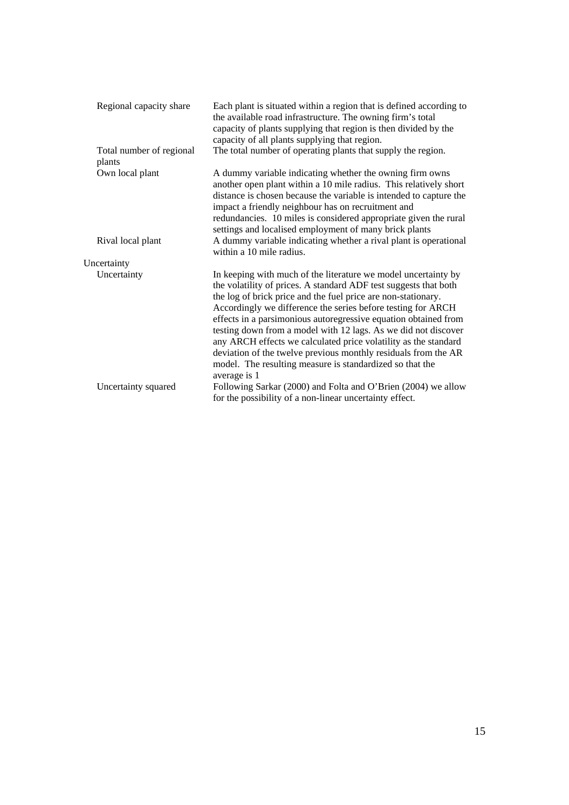| Regional capacity share            | Each plant is situated within a region that is defined according to<br>the available road infrastructure. The owning firm's total<br>capacity of plants supplying that region is then divided by the<br>capacity of all plants supplying that region.                                                                                                                                                                                                                                                                                                                                                                     |
|------------------------------------|---------------------------------------------------------------------------------------------------------------------------------------------------------------------------------------------------------------------------------------------------------------------------------------------------------------------------------------------------------------------------------------------------------------------------------------------------------------------------------------------------------------------------------------------------------------------------------------------------------------------------|
| Total number of regional<br>plants | The total number of operating plants that supply the region.                                                                                                                                                                                                                                                                                                                                                                                                                                                                                                                                                              |
| Own local plant                    | A dummy variable indicating whether the owning firm owns<br>another open plant within a 10 mile radius. This relatively short<br>distance is chosen because the variable is intended to capture the<br>impact a friendly neighbour has on recruitment and<br>redundancies. 10 miles is considered appropriate given the rural<br>settings and localised employment of many brick plants                                                                                                                                                                                                                                   |
| Rival local plant                  | A dummy variable indicating whether a rival plant is operational<br>within a 10 mile radius.                                                                                                                                                                                                                                                                                                                                                                                                                                                                                                                              |
| Uncertainty                        |                                                                                                                                                                                                                                                                                                                                                                                                                                                                                                                                                                                                                           |
| Uncertainty                        | In keeping with much of the literature we model uncertainty by<br>the volatility of prices. A standard ADF test suggests that both<br>the log of brick price and the fuel price are non-stationary.<br>Accordingly we difference the series before testing for ARCH<br>effects in a parsimonious autoregressive equation obtained from<br>testing down from a model with 12 lags. As we did not discover<br>any ARCH effects we calculated price volatility as the standard<br>deviation of the twelve previous monthly residuals from the AR<br>model. The resulting measure is standardized so that the<br>average is 1 |
| Uncertainty squared                | Following Sarkar (2000) and Folta and O'Brien (2004) we allow<br>for the possibility of a non-linear uncertainty effect.                                                                                                                                                                                                                                                                                                                                                                                                                                                                                                  |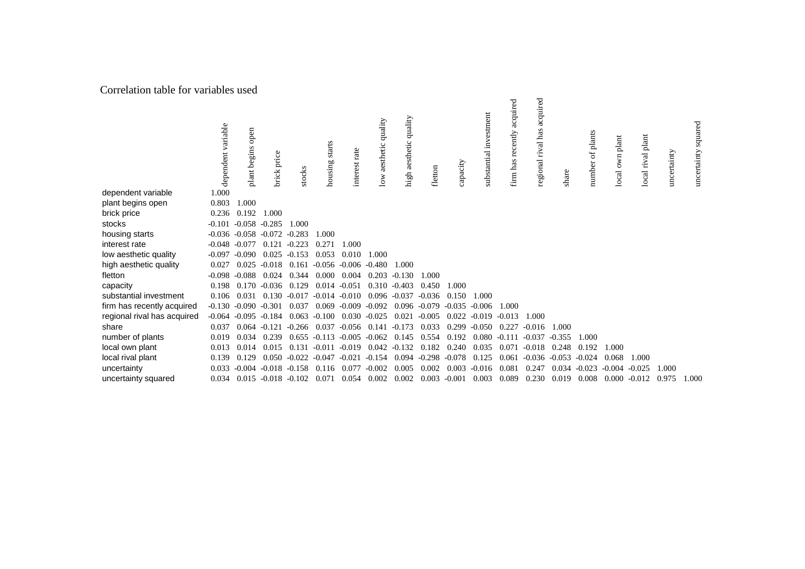#### Correlation table for variables used

|                             | dependent variable | open<br>plant begins | brick price     | stocks   | starts<br>housing | interest rate    | aesthetic quality<br>$\overline{\text{low}}$ | quality<br>high aesthetic | fletton  | capacity | investment<br>substantial | acquired<br>firm has recently | acquired<br>regional rival has | share    | number of plants | own plant<br>local | plant<br>rival<br>local | uncertainty | squared<br>uncertainty |
|-----------------------------|--------------------|----------------------|-----------------|----------|-------------------|------------------|----------------------------------------------|---------------------------|----------|----------|---------------------------|-------------------------------|--------------------------------|----------|------------------|--------------------|-------------------------|-------------|------------------------|
| dependent variable          | 1.000              |                      |                 |          |                   |                  |                                              |                           |          |          |                           |                               |                                |          |                  |                    |                         |             |                        |
| plant begins open           | 0.803              | 1.000                |                 |          |                   |                  |                                              |                           |          |          |                           |                               |                                |          |                  |                    |                         |             |                        |
| brick price                 | 0.236              | 0.192                | 1.000           |          |                   |                  |                                              |                           |          |          |                           |                               |                                |          |                  |                    |                         |             |                        |
| stocks                      | $-0.101$           | $-0.058 - 0.285$     |                 | 1.000    |                   |                  |                                              |                           |          |          |                           |                               |                                |          |                  |                    |                         |             |                        |
| housing starts              | $-0.036$           | $-0.058$             | $-0.072$        | $-0.283$ | 1.000             |                  |                                              |                           |          |          |                           |                               |                                |          |                  |                    |                         |             |                        |
| interest rate               | $-0.048$           | $-0.077$             | 0.121           | $-0.223$ | 0.271             | 1.000            |                                              |                           |          |          |                           |                               |                                |          |                  |                    |                         |             |                        |
| low aesthetic quality       | $-0.097$           | $-0.090$             | 0.025           | $-0.153$ | 0.053             | 0.010            | 1.000                                        |                           |          |          |                           |                               |                                |          |                  |                    |                         |             |                        |
| high aesthetic quality      | 0.027              | 0.025                | $-0.018$        | 0.161    |                   | $-0.056 - 0.006$ | $-0.480$                                     | 1.000                     |          |          |                           |                               |                                |          |                  |                    |                         |             |                        |
| fletton                     | $-0.098$           | $-0.088$             | 0.024           | 0.344    | 0.000             | 0.004            | 0.203                                        | $-0.130$                  | 1.000    |          |                           |                               |                                |          |                  |                    |                         |             |                        |
| capacity                    | 0.198              | 0.170                | $-0.036$        | 0.129    | 0.014             | $-0.051$         |                                              | $0.310 - 0.403$           | 0.450    | 1.000    |                           |                               |                                |          |                  |                    |                         |             |                        |
| substantial investment      | 0.106              | 0.031                | 0.130           | $-0.017$ | $-0.014 - 0.010$  |                  |                                              | $0.096 - 0.037$           | $-0.036$ | 0.150    | 1.000                     |                               |                                |          |                  |                    |                         |             |                        |
| firm has recently acquired  | $-0.130$           | $-0.090$             | $-0.301$        | 0.037    | 0.069             | $-0.009$         | $-0.092$                                     | 0.096                     | $-0.079$ | $-0.035$ | $-0.006$                  | 1.000                         |                                |          |                  |                    |                         |             |                        |
| regional rival has acquired | $-0.064$           | $-0.095$             | $-0.184$        | 0.063    | $-0.100$          | 0.030            | $-0.025$                                     | 0.021                     | $-0.005$ | 0.022    | $-0.019$                  | $-0.013$                      | 1.000                          |          |                  |                    |                         |             |                        |
| share                       | 0.037              | 0.064                | $-0.121$        | $-0.266$ | 0.037             | $-0.056$         | 0.141                                        | $-0.173$                  | 0.033    | 0.299    | $-0.050$                  | 0.227                         | $-0.016$                       | 1.000    |                  |                    |                         |             |                        |
| number of plants            | 0.019              | 0.034                | 0.239           | 0.655    | $-0.113$          | $-0.005$         | $-0.062$                                     | 0.145                     | 0.554    | 0.192    | 0.080                     | $-0.111$                      | $-0.037$                       | $-0.355$ | 1.000            |                    |                         |             |                        |
| local own plant             | 0.013              | 0.014                | 0.015           | 0.131    | $-0.011$          | $-0.019$         | 0.042                                        | $-0.132$                  | 0.182    | 0.240    | 0.035                     | 0.071                         | $-0.018$                       | 0.248    | 0.192            | 1.000              |                         |             |                        |
| local rival plant           | 0.139              | 0.129                | 0.050           | $-0.022$ | $-0.047$          | $-0.021$         | $-0.154$                                     | 0.094                     | $-0.298$ | $-0.078$ | 0.125                     | 0.061                         | $-0.036$                       | $-0.053$ | $-0.024$         | 0.068              | 1.000                   |             |                        |
| uncertainty                 | 0.033              | $-0.004$             | $-0.018$        | $-0.158$ | 0.116             | 0.077            | $-0.002$                                     | 0.005                     | 0.002    | 0.003    | $-0.016$                  | 0.081                         | 0.247                          | 0.034    | $-0.023$         | $-0.004$           | $-0.025$                | 1.000       |                        |
| uncertainty squared         | 0.034              |                      | $0.015 - 0.018$ | $-0.102$ | 0.071             | 0.054            | 0.002                                        | 0.002                     | 0.003    | $-0.001$ | 0.003                     | 0.089                         | 0.230                          | 0.019    | 0.008            | 0.000              | $-0.012$                | 0.975       | 1.000                  |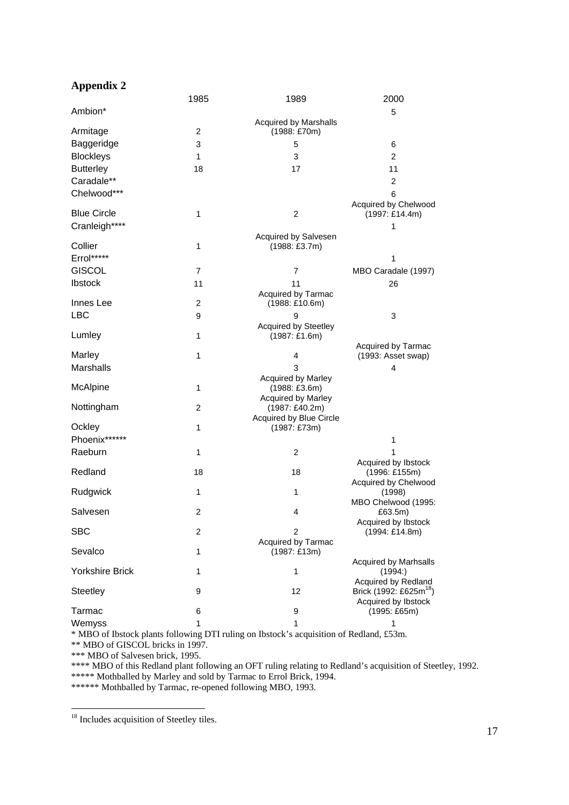## **Appendix 2**

|                        | 1985           | 1989                                                       | 2000                                                      |
|------------------------|----------------|------------------------------------------------------------|-----------------------------------------------------------|
| Ambion*                |                |                                                            | 5                                                         |
| Armitage               | 2              | <b>Acquired by Marshalls</b><br>(1988: £70m)               |                                                           |
| Baggeridge             | 3              | 5                                                          | 6                                                         |
| <b>Blockleys</b>       | $\mathbf{1}$   | 3                                                          | $\overline{2}$                                            |
| <b>Butterley</b>       | 18             | 17                                                         | 11                                                        |
| Caradale**             |                |                                                            | 2                                                         |
| Chelwood***            |                |                                                            | 6                                                         |
| <b>Blue Circle</b>     | 1              | $\overline{c}$                                             | Acquired by Chelwood<br>(1997: £14.4m)                    |
| Cranleigh****          |                |                                                            | 1                                                         |
| Collier                | 1              | Acquired by Salvesen<br>$(1988: \text{\textsterling}3.7m)$ |                                                           |
| Errol*****             |                |                                                            | 1                                                         |
| <b>GISCOL</b>          | $\overline{7}$ | 7                                                          | MBO Caradale (1997)                                       |
| Ibstock                | 11             | 11<br>Acquired by Tarmac                                   | 26                                                        |
| Innes Lee              | 2              | (1988:£10.6m)                                              |                                                           |
| <b>LBC</b>             | 9              | 9                                                          | 3                                                         |
| Lumley                 | 1              | <b>Acquired by Steetley</b><br>(1987:£1.6m)                |                                                           |
|                        |                |                                                            | Acquired by Tarmac                                        |
| Marley<br>Marshalls    | 1              | 4                                                          | (1993: Asset swap)                                        |
|                        |                | 3<br>Acquired by Marley                                    | 4                                                         |
| McAlpine               | 1              | $(1988: \text{\pounds}3.6m)$                               |                                                           |
|                        |                | Acquired by Marley                                         |                                                           |
| Nottingham             | $\overline{c}$ | (1987: £40.2m)<br>Acquired by Blue Circle                  |                                                           |
| Ockley                 | 1              | (1987: £73m)                                               |                                                           |
| Phoenix******          |                |                                                            | 1                                                         |
| Raeburn                | 1              | 2                                                          | 1                                                         |
|                        |                |                                                            | Acquired by Ibstock                                       |
| Redland                | 18             | 18                                                         | (1996: £155m)<br>Acquired by Chelwood                     |
| Rudgwick               | 1              | 1                                                          | (1998)                                                    |
|                        |                |                                                            | MBO Chelwood (1995:                                       |
| Salvesen               | 2              | 4                                                          | £63.5m)                                                   |
| <b>SBC</b>             | 2              | 2<br>Acquired by Tarmac                                    | Acquired by Ibstock<br>(1994: £14.8m)                     |
| Sevalco                | 1              | (1987:£13m)                                                | <b>Acquired by Marhsalls</b>                              |
| <b>Yorkshire Brick</b> | 1              | 1                                                          | (1994)<br>Acquired by Redland                             |
| Steetley               | 9              | 12                                                         | Brick (1992: £625m <sup>18</sup> )<br>Acquired by Ibstock |
| Tarmac                 | 6              | 9                                                          | (1995: £65m)                                              |
| Wemyss                 | 1              | 1                                                          | 1                                                         |

\* MBO of Ibstock plants following DTI ruling on Ibstock's acquisition of Redland, £53m.

\*\* MBO of GISCOL bricks in 1997.

\*\*\* MBO of Salvesen brick, 1995.

\*\*\*\* MBO of this Redland plant following an OFT ruling relating to Redland's acquisition of Steetley, 1992.

\*\*\*\*\* Mothballed by Marley and sold by Tarmac to Errol Brick, 1994.

\*\*\*\*\*\* Mothballed by Tarmac, re-opened following MBO, 1993.

<sup>&</sup>lt;sup>18</sup> Includes acquisition of Steetley tiles.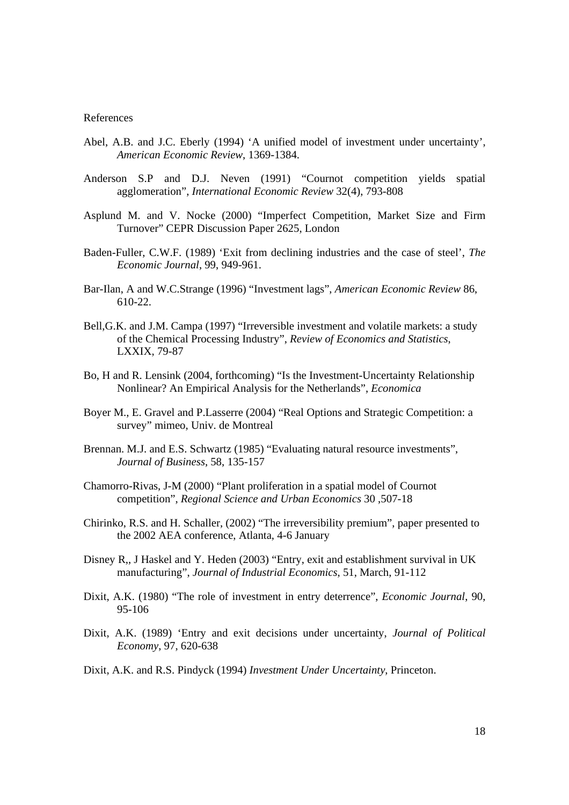#### References

- Abel, A.B. and J.C. Eberly (1994) 'A unified model of investment under uncertainty', *American Economic Review*, 1369-1384.
- Anderson S.P and D.J. Neven (1991) "Cournot competition yields spatial agglomeration", *International Economic Review* 32(4), 793-808
- Asplund M. and V. Nocke (2000) "Imperfect Competition, Market Size and Firm Turnover" CEPR Discussion Paper 2625, London
- Baden-Fuller, C.W.F. (1989) 'Exit from declining industries and the case of steel', *The Economic Journal*, 99, 949-961.
- Bar-Ilan, A and W.C.Strange (1996) "Investment lags", *American Economic Review* 86, 610-22.
- Bell,G.K. and J.M. Campa (1997) "Irreversible investment and volatile markets: a study of the Chemical Processing Industry", *Review of Economics and Statistics*, LXXIX, 79-87
- Bo, H and R. Lensink (2004, forthcoming) "Is the Investment-Uncertainty Relationship Nonlinear? An Empirical Analysis for the Netherlands", *Economica*
- Boyer M., E. Gravel and P.Lasserre (2004) "Real Options and Strategic Competition: a survey" mimeo, Univ. de Montreal
- Brennan. M.J. and E.S. Schwartz (1985) "Evaluating natural resource investments", *Journal of Business*, 58, 135-157
- Chamorro-Rivas, J-M (2000) "Plant proliferation in a spatial model of Cournot competition", *Regional Science and Urban Economics* 30 ,507-18
- Chirinko, R.S. and H. Schaller, (2002) "The irreversibility premium", paper presented to the 2002 AEA conference, Atlanta, 4-6 January
- Disney R,, J Haskel and Y. Heden (2003) "Entry, exit and establishment survival in UK manufacturing", *Journal of Industrial Economics*, 51, March, 91-112
- Dixit, A.K. (1980) "The role of investment in entry deterrence", *Economic Journal*, 90, 95-106
- Dixit, A.K. (1989) 'Entry and exit decisions under uncertainty, *Journal of Political Economy*, 97, 620-638

Dixit, A.K. and R.S. Pindyck (1994) *Investment Under Uncertainty*, Princeton.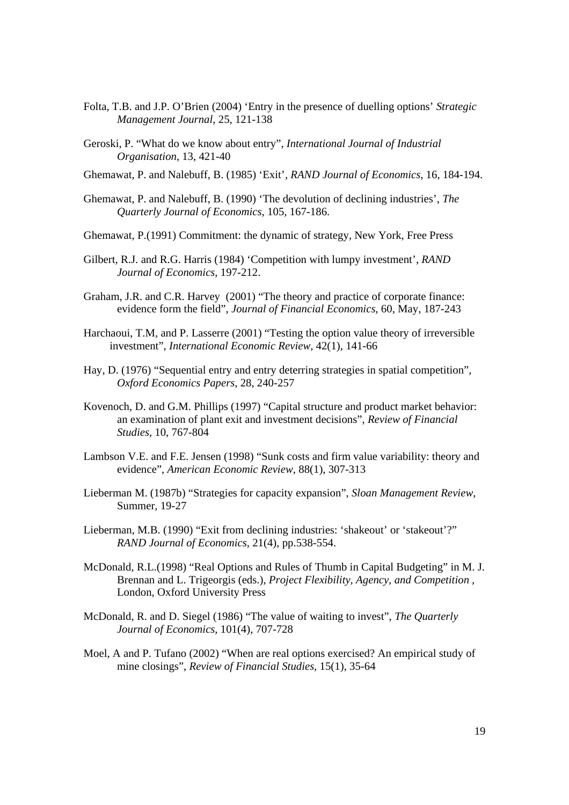- Folta, T.B. and J.P. O'Brien (2004) 'Entry in the presence of duelling options' *Strategic Management Journal*, 25, 121-138
- Geroski, P. "What do we know about entry", *International Journal of Industrial Organisation*, 13, 421-40
- Ghemawat, P. and Nalebuff, B. (1985) 'Exit', *RAND Journal of Economics*, 16, 184-194.
- Ghemawat, P. and Nalebuff, B. (1990) 'The devolution of declining industries', *The Quarterly Journal of Economics*, 105, 167-186.
- Ghemawat, P.(1991) Commitment: the dynamic of strategy, New York, Free Press
- Gilbert, R.J. and R.G. Harris (1984) 'Competition with lumpy investment', *RAND Journal of Economics*, 197-212.
- Graham, J.R. and C.R. Harvey (2001) "The theory and practice of corporate finance: evidence form the field", *Journal of Financial Economics*, 60, May, 187-243
- Harchaoui, T.M, and P. Lasserre (2001) "Testing the option value theory of irreversible investment", *International Economic Review,* 42(1), 141-66
- Hay, D. (1976) "Sequential entry and entry deterring strategies in spatial competition", *Oxford Economics Papers*, 28, 240-257
- Kovenoch, D. and G.M. Phillips (1997) "Capital structure and product market behavior: an examination of plant exit and investment decisions", *Review of Financial Studies*, 10, 767-804
- Lambson V.E. and F.E. Jensen (1998) "Sunk costs and firm value variability: theory and evidence", *American Economic Review*, 88(1), 307-313
- Lieberman M. (1987b) "Strategies for capacity expansion", *Sloan Management Review*, Summer, 19-27
- Lieberman, M.B. (1990) "Exit from declining industries: 'shakeout' or 'stakeout'?" *RAND Journal of Economics*, 21(4), pp.538-554.
- McDonald, R.L.(1998) "Real Options and Rules of Thumb in Capital Budgeting" in M. J. Brennan and L. Trigeorgis (eds.), *Project Flexibility, Agency, and Competition* , London, Oxford University Press
- McDonald, R. and D. Siegel (1986) "The value of waiting to invest", *The Quarterly Journal of Economics*, 101(4), 707-728
- Moel, A and P. Tufano (2002) "When are real options exercised? An empirical study of mine closings", *Review of Financial Studies*, 15(1), 35-64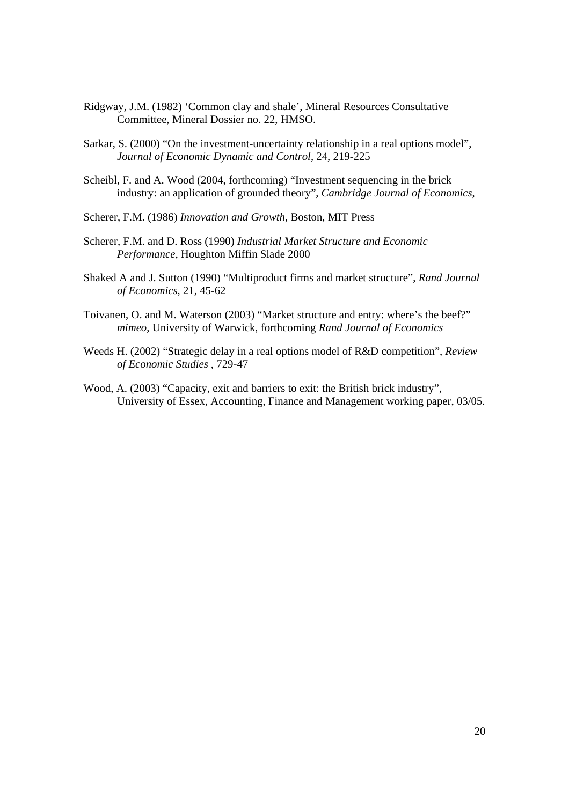- Ridgway, J.M. (1982) 'Common clay and shale', Mineral Resources Consultative Committee, Mineral Dossier no. 22, HMSO.
- Sarkar, S. (2000) "On the investment-uncertainty relationship in a real options model", *Journal of Economic Dynamic and Control*, 24, 219-225
- Scheibl, F. and A. Wood (2004, forthcoming) "Investment sequencing in the brick industry: an application of grounded theory", *Cambridge Journal of Economics*,

Scherer, F.M. (1986) *Innovation and Growth*, Boston, MIT Press

- Scherer, F.M. and D. Ross (1990) *Industrial Market Structure and Economic Performance*, Houghton Miffin Slade 2000
- Shaked A and J. Sutton (1990) "Multiproduct firms and market structure", *Rand Journal of Economics*, 21, 45-62
- Toivanen, O. and M. Waterson (2003) "Market structure and entry: where's the beef?" *mimeo*, University of Warwick, forthcoming *Rand Journal of Economics*
- Weeds H. (2002) "Strategic delay in a real options model of R&D competition", *Review of Economic Studies* , 729-47
- Wood, A. (2003) "Capacity, exit and barriers to exit: the British brick industry", University of Essex, Accounting, Finance and Management working paper, 03/05.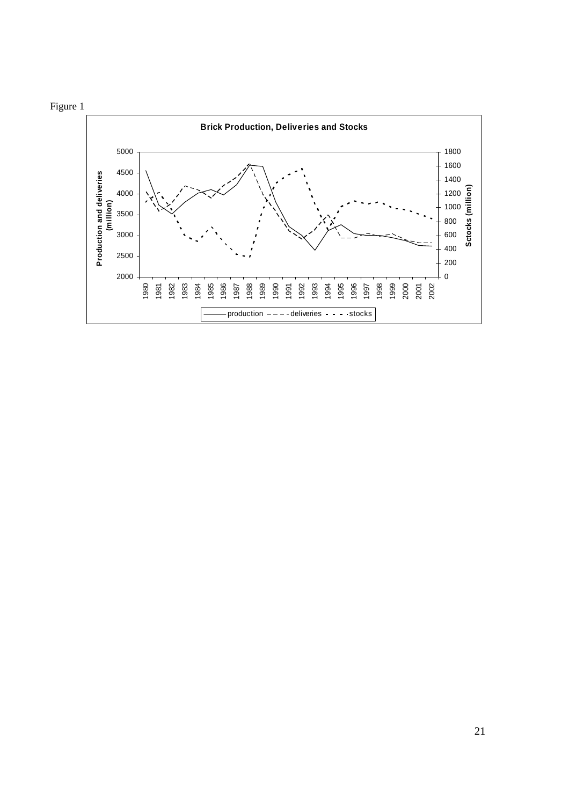

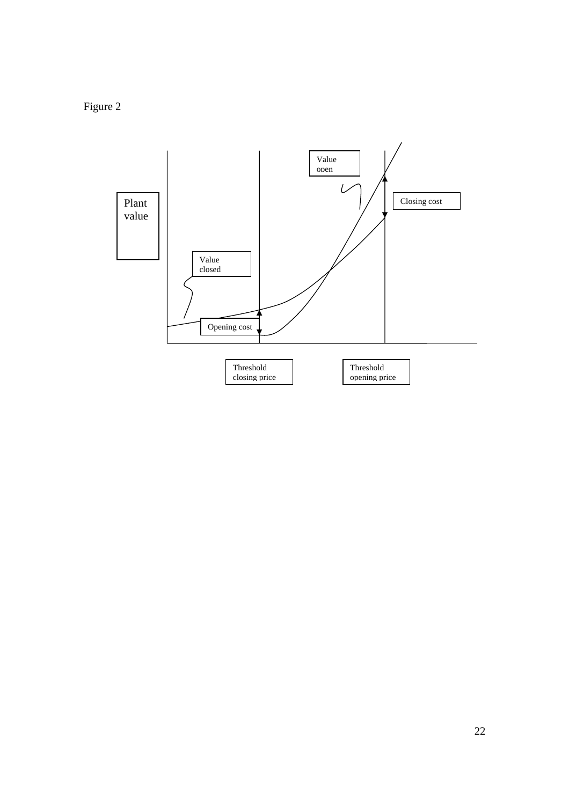Figure 2

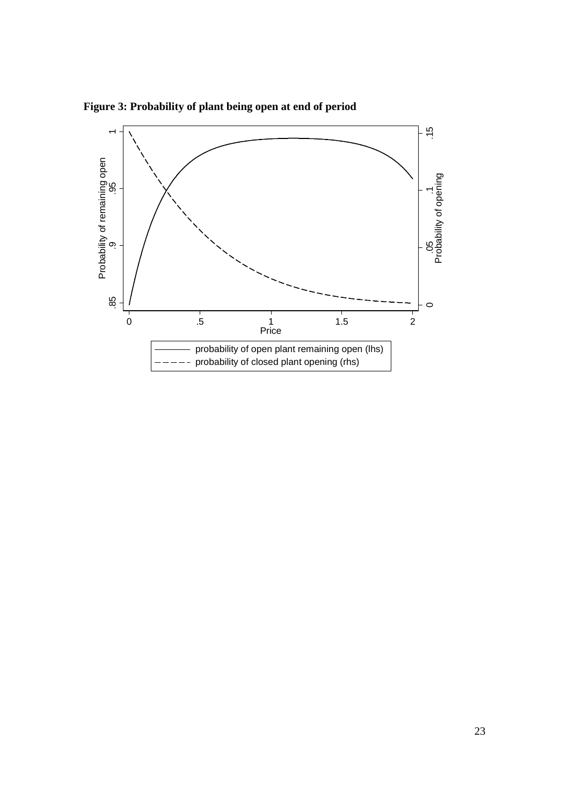

**Figure 3: Probability of plant being open at end of period**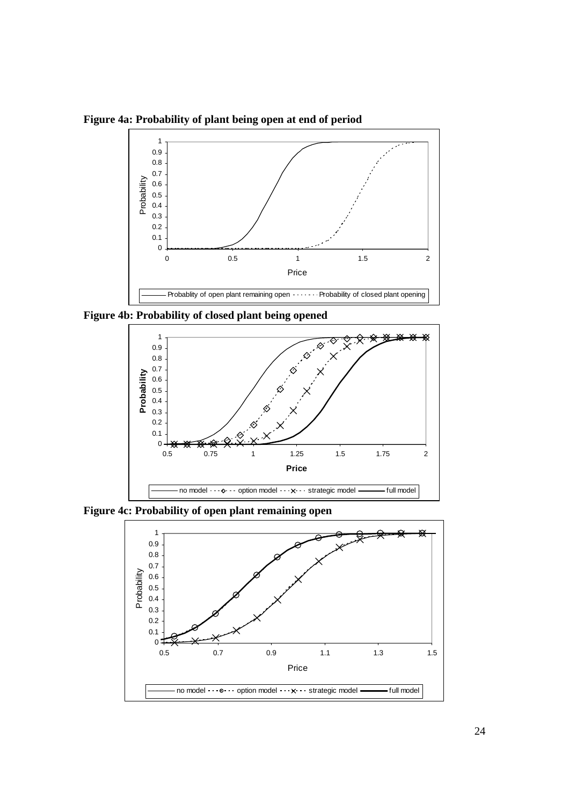**Figure 4a: Probability of plant being open at end of period**



**Figure 4b: Probability of closed plant being opened** 



**Figure 4c: Probability of open plant remaining open** 

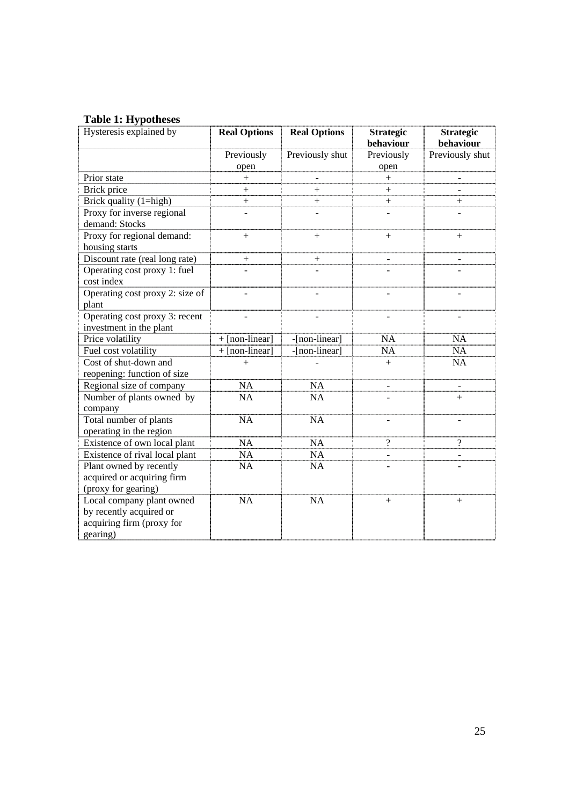## **Table 1: Hypotheses**

| Hysteresis explained by         | <b>Real Options</b> | <b>Real Options</b> | <b>Strategic</b> | <b>Strategic</b> |  |  |
|---------------------------------|---------------------|---------------------|------------------|------------------|--|--|
|                                 |                     |                     | behaviour        | behaviour        |  |  |
|                                 | Previously          | Previously shut     | Previously       | Previously shut  |  |  |
|                                 | open                |                     | open             |                  |  |  |
| Prior state                     | $+$                 |                     | $+$              |                  |  |  |
| Brick price                     | $^{+}$              | $^{+}$              | $^{+}$           |                  |  |  |
| Brick quality (1=high)          | $^{+}$              | $^{+}$              | $^{+}$           | $^+$             |  |  |
| Proxy for inverse regional      |                     |                     |                  |                  |  |  |
| demand: Stocks                  |                     |                     |                  |                  |  |  |
| Proxy for regional demand:      | $^{+}$              | $^{+}$              | $^{+}$           | $+$              |  |  |
| housing starts                  |                     |                     |                  |                  |  |  |
| Discount rate (real long rate)  | $^{+}$              |                     |                  |                  |  |  |
| Operating cost proxy 1: fuel    |                     |                     |                  |                  |  |  |
| cost index                      |                     |                     |                  |                  |  |  |
| Operating cost proxy 2: size of |                     |                     |                  |                  |  |  |
| plant                           |                     |                     |                  |                  |  |  |
| Operating cost proxy 3: recent  |                     |                     |                  |                  |  |  |
| investment in the plant         |                     |                     |                  |                  |  |  |
| Price volatility                | $+$ [non-linear]    | -[non-linear]       | NA               | NA               |  |  |
| Fuel cost volatility            | $+$ [non-linear]    | -[non-linear]       | <b>NA</b>        | <b>NA</b>        |  |  |
| Cost of shut-down and           | $^{+}$              |                     | $+$              | NA               |  |  |
| reopening: function of size     |                     |                     |                  |                  |  |  |
| Regional size of company        | <b>NA</b>           | <b>NA</b>           |                  |                  |  |  |
| Number of plants owned by       | <b>NA</b>           | NA                  |                  | $+$              |  |  |
| company                         |                     |                     |                  |                  |  |  |
| Total number of plants          | <b>NA</b>           | <b>NA</b>           |                  |                  |  |  |
| operating in the region         |                     |                     |                  |                  |  |  |
| Existence of own local plant    | <b>NA</b>           | <b>NA</b>           | $\gamma$         | $\gamma$         |  |  |
| Existence of rival local plant  | NA                  | <b>NA</b>           |                  |                  |  |  |
| Plant owned by recently         | <b>NA</b>           | <b>NA</b>           |                  |                  |  |  |
| acquired or acquiring firm      |                     |                     |                  |                  |  |  |
| (proxy for gearing)             |                     |                     |                  |                  |  |  |
| Local company plant owned       | NA                  | NA                  | $^{+}$           | $^{+}$           |  |  |
| by recently acquired or         |                     |                     |                  |                  |  |  |
| acquiring firm (proxy for       |                     |                     |                  |                  |  |  |
| gearing)                        |                     |                     |                  |                  |  |  |